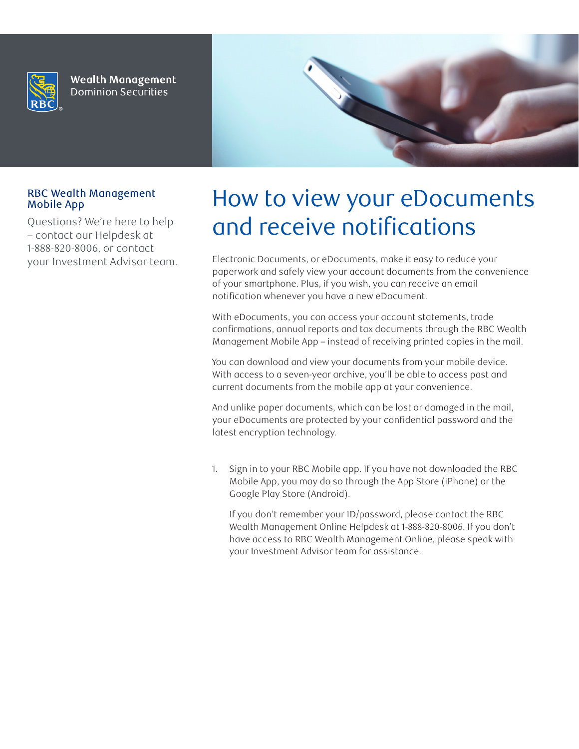

**Wealth Management Dominion Securities** 



## RBC Wealth Management Mobile App

Questions? We're here to help – contact our Helpdesk at 1-888-820-8006, or contact your Investment Advisor team.

## How to view your eDocuments and receive notifications

Electronic Documents, or eDocuments, make it easy to reduce your paperwork and safely view your account documents from the convenience of your smartphone. Plus, if you wish, you can receive an email notification whenever you have a new eDocument.

With eDocuments, you can access your account statements, trade confirmations, annual reports and tax documents through the RBC Wealth Management Mobile App – instead of receiving printed copies in the mail.

You can download and view your documents from your mobile device. With access to a seven-year archive, you'll be able to access past and current documents from the mobile app at your convenience.

And unlike paper documents, which can be lost or damaged in the mail, your eDocuments are protected by your confidential password and the latest encryption technology.

1. Sign in to your RBC Mobile app. If you have not downloaded the RBC Mobile App, you may do so through the App Store (iPhone) or the Google Play Store (Android).

If you don't remember your ID/password, please contact the RBC Wealth Management Online Helpdesk at 1-888-820-8006. If you don't have access to RBC Wealth Management Online, please speak with your Investment Advisor team for assistance.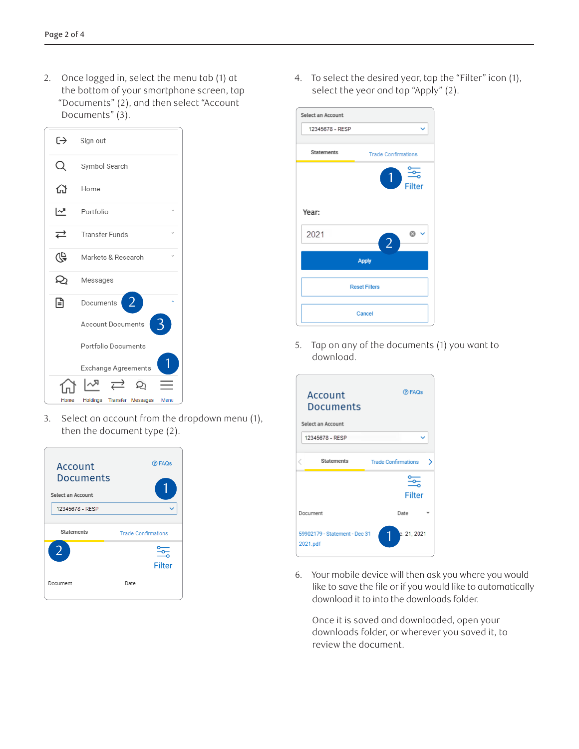2. Once logged in, select the menu tab (1) at the bottom of your smartphone screen, tap "Documents" (2), and then select "Account Documents" (3).



3. Select an account from the dropdown menu (1), then the document type (2).



4. To select the desired year, tap the "Filter" icon (1), select the year and tap "Apply" (2).



5. Tap on any of the documents (1) you want to download.



6. Your mobile device will then ask you where you would like to save the file or if you would like to automatically download it to into the downloads folder.

Once it is saved and downloaded, open your downloads folder, or wherever you saved it, to review the document.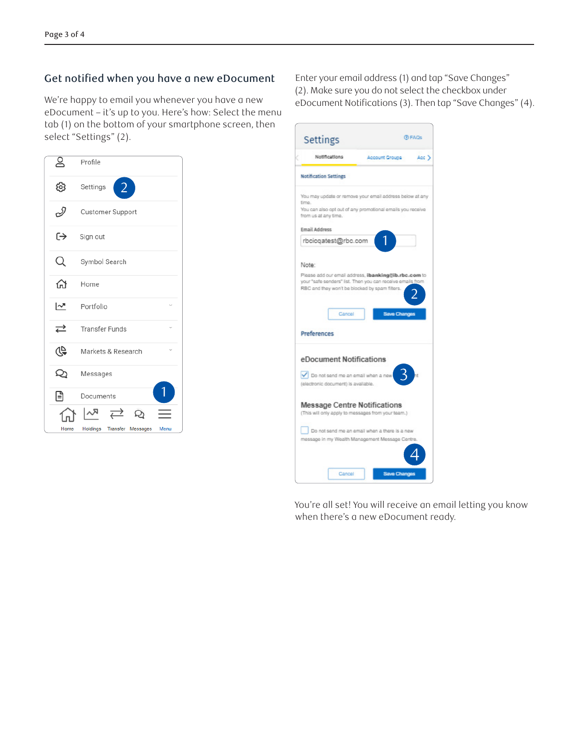## Get notified when you have a new eDocument

We're happy to email you whenever you have a new eDocument – it's up to you. Here's how: Select the menu tab (1) on the bottom of your smartphone screen, then select "Settings" (2).

| ల్ల  | Profile                                                          |
|------|------------------------------------------------------------------|
| ශ    | $\overline{2}$<br>Settings                                       |
| D    | Customer Support                                                 |
| ⊖    | Sign out                                                         |
|      | Symbol Search                                                    |
| क़   | Home                                                             |
| 년    | Portfolio                                                        |
| ⇄    | Transfer Funds                                                   |
| 40   | Markets & Research                                               |
| Q    | Messages                                                         |
| 日    | Documents                                                        |
| Home | $\rightleftarrows$<br>Q<br>Transfer Messages<br>Holdings<br>Menu |

Enter your email address (1) and tap "Save Changes" (2). Make sure you do not select the checkbox under eDocument Notifications (3). Then tap "Save Changes" (4).

| Settings                                                                                                                                                                                      | <b>O FAGS</b>                                 |       |
|-----------------------------------------------------------------------------------------------------------------------------------------------------------------------------------------------|-----------------------------------------------|-------|
| Notifications                                                                                                                                                                                 | Account Groups                                | Acc.) |
| <b>Notification Settings</b>                                                                                                                                                                  |                                               |       |
| You may update or remove your email address below at any<br>time.<br>You can also opt out of any promotional emails you receive<br>from us at any time.                                       |                                               |       |
| Email Address                                                                                                                                                                                 |                                               |       |
| rbcicqatest@rbc.com                                                                                                                                                                           |                                               |       |
| Please add our email address, ibanking@ib.rbc.com to<br>your "safe senders" list. Then you can receive emails from<br>RBC and they won't be blocked by spam filters.<br>Cancel<br>Preferences | <b>Save Changes</b>                           |       |
| eDocument Notifications<br>Do not send me an email when a new<br>(electronic document) is available.                                                                                          |                                               |       |
| Message Centre Notifications<br>(This will only apply to messages from your team.)                                                                                                            |                                               |       |
| message in my Wealth Management Message Centre.                                                                                                                                               | Do not send me an email when a there is a new |       |
| Cancel                                                                                                                                                                                        | Save Change                                   |       |

You're all set! You will receive an email letting you know when there's a new eDocument ready.